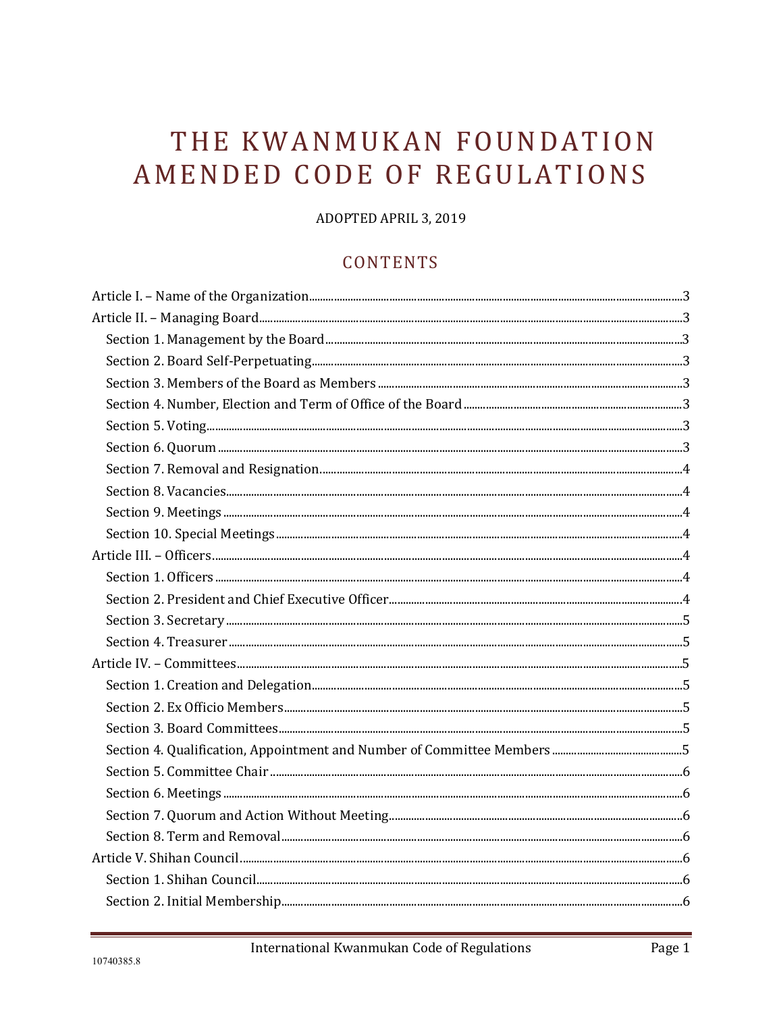# THE KWANMUKAN FOUNDATION AMENDED CODE OF REGULATIONS

ADOPTED APRIL 3, 2019

#### **CONTENTS**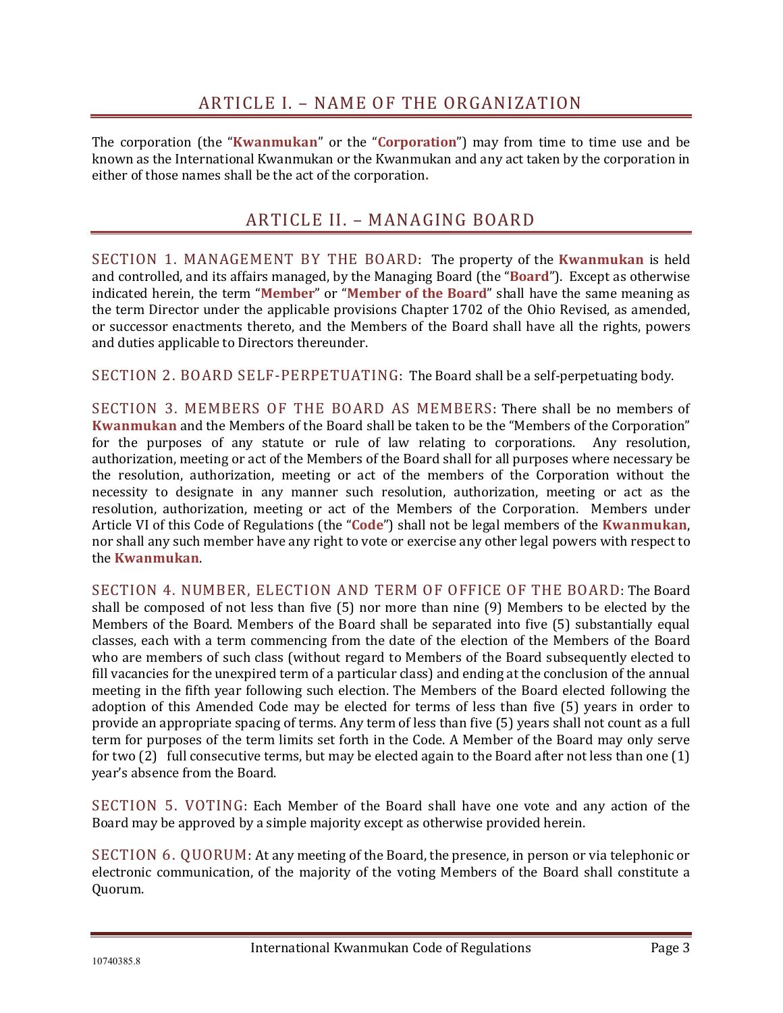<span id="page-2-1"></span><span id="page-2-0"></span>The corporation (the "**Kwanmukan**" or the "**Corporation**") may from time to time use and be known as the International Kwanmukan or the Kwanmukan and any act taken by the corporation in either of those names shall be the act of the corporation**.**

#### ARTICLE II. – MANAGING BOARD

<span id="page-2-2"></span>SECTION 1. MANAGEMENT BY THE BOARD: The property of the **Kwanmukan** is held and controlled, and its affairs managed, by the Managing Board (the "**Board**"). Except as otherwise indicated herein, the term "**Member**" or "**Member of the Board**" shall have the same meaning as the term Director under the applicable provisions Chapter 1702 of the Ohio Revised, as amended, or successor enactments thereto, and the Members of the Board shall have all the rights, powers and duties applicable to Directors thereunder.

<span id="page-2-3"></span>SECTION 2. BOARD SELF-PERPETUATING: The Board shall be a self-perpetuating body.

<span id="page-2-4"></span>SECTION 3. MEMBERS OF THE BOARD AS MEMBERS: There shall be no members of **Kwanmukan** and the Members of the Board shall be taken to be the "Members of the Corporation" for the purposes of any statute or rule of law relating to corporations. Any resolution, authorization, meeting or act of the Members of the Board shall for all purposes where necessary be the resolution, authorization, meeting or act of the members of the Corporation without the necessity to designate in any manner such resolution, authorization, meeting or act as the resolution, authorization, meeting or act of the Members of the Corporation. Members under Article VI of this Code of Regulations (the "**Code**") shall not be legal members of the **Kwanmukan**, nor shall any such member have any right to vote or exercise any other legal powers with respect to the **Kwanmukan**.

<span id="page-2-5"></span>SECTION 4. NUMBER, ELECTION AND TERM OF OFFICE OF THE BOARD: The Board shall be composed of not less than five (5) nor more than nine (9) Members to be elected by the Members of the Board. Members of the Board shall be separated into five (5) substantially equal classes, each with a term commencing from the date of the election of the Members of the Board who are members of such class (without regard to Members of the Board subsequently elected to fill vacancies for the unexpired term of a particular class) and ending at the conclusion of the annual meeting in the fifth year following such election. The Members of the Board elected following the adoption of this Amended Code may be elected for terms of less than five (5) years in order to provide an appropriate spacing of terms. Any term of less than five (5) years shall not count as a full term for purposes of the term limits set forth in the Code. A Member of the Board may only serve for two (2) full consecutive terms, but may be elected again to the Board after not less than one (1) year's absence from the Board.

<span id="page-2-6"></span>SECTION 5. VOTING: Each Member of the Board shall have one vote and any action of the Board may be approved by a simple majority except as otherwise provided herein.

<span id="page-2-7"></span>SECTION 6. QUORUM: At any meeting of the Board, the presence, in person or via telephonic or electronic communication, of the majority of the voting Members of the Board shall constitute a Quorum.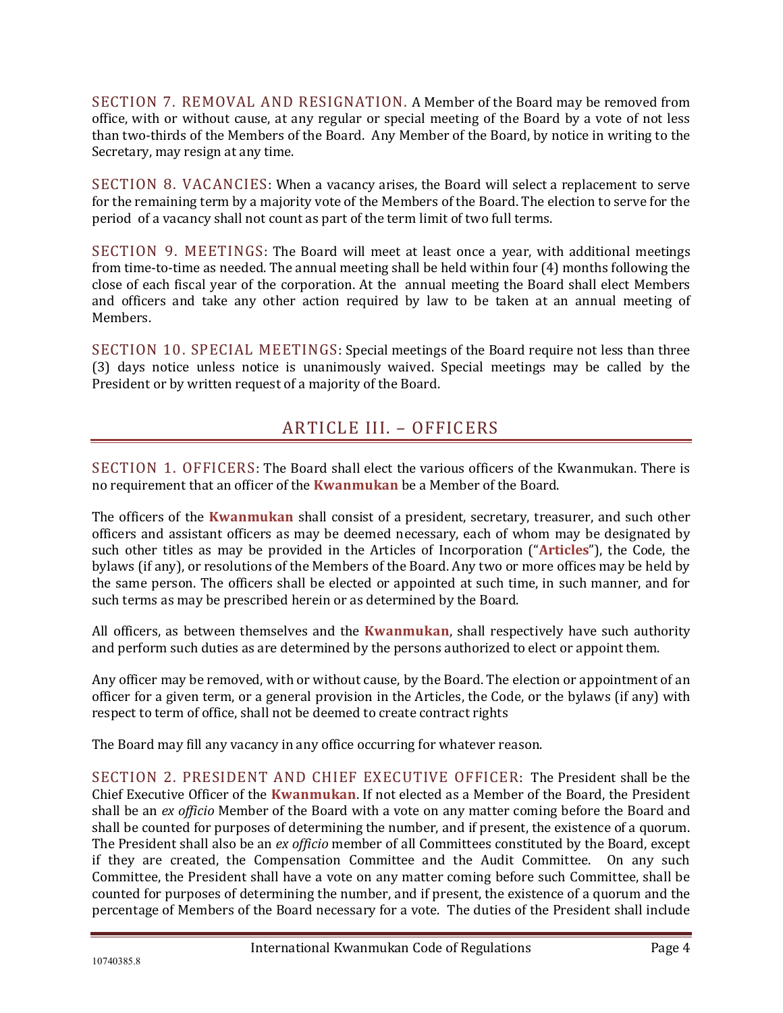<span id="page-3-0"></span>SECTION 7. REMOVAL AND RESIGNATION. A Member of the Board may be removed from office, with or without cause, at any regular or special meeting of the Board by a vote of not less than two-thirds of the Members of the Board. Any Member of the Board, by notice in writing to the Secretary, may resign at any time.

<span id="page-3-1"></span>SECTION 8. VACANCIES: When a vacancy arises, the Board will select a replacement to serve for the remaining term by a majority vote of the Members of the Board. The election to serve for the period of a vacancy shall not count as part of the term limit of two full terms.

<span id="page-3-2"></span>SECTION 9. MEETINGS: The Board will meet at least once a year, with additional meetings from time-to-time as needed. The annual meeting shall be held within four (4) months following the close of each fiscal year of the corporation. At the annual meeting the Board shall elect Members and officers and take any other action required by law to be taken at an annual meeting of Members.

<span id="page-3-3"></span>SECTION 10. SPECIAL MEETINGS: Special meetings of the Board require not less than three (3) days notice unless notice is unanimously waived. Special meetings may be called by the President or by written request of a majority of the Board.

# ARTICLE III. – OFFICERS

<span id="page-3-5"></span><span id="page-3-4"></span>SECTION 1. OFFICERS: The Board shall elect the various officers of the Kwanmukan. There is no requirement that an officer of the **Kwanmukan** be a Member of the Board.

The officers of the **Kwanmukan** shall consist of a president, secretary, treasurer, and such other officers and assistant officers as may be deemed necessary, each of whom may be designated by such other titles as may be provided in the Articles of Incorporation ("**Articles**"), the Code, the bylaws (if any), or resolutions of the Members of the Board. Any two or more offices may be held by the same person. The officers shall be elected or appointed at such time, in such manner, and for such terms as may be prescribed herein or as determined by the Board.

All officers, as between themselves and the **Kwanmukan**, shall respectively have such authority and perform such duties as are determined by the persons authorized to elect or appoint them.

Any officer may be removed, with or without cause, by the Board. The election or appointment of an officer for a given term, or a general provision in the Articles, the Code, or the bylaws (if any) with respect to term of office, shall not be deemed to create contract rights

The Board may fill any vacancy in any office occurring for whatever reason.

<span id="page-3-6"></span>SECTION 2. PRESIDENT AND CHIEF EXECUTIVE OFFICER: The President shall be the Chief Executive Officer of the **Kwanmukan**. If not elected as a Member of the Board, the President shall be an *ex officio* Member of the Board with a vote on any matter coming before the Board and shall be counted for purposes of determining the number, and if present, the existence of a quorum. The President shall also be an *ex officio* member of all Committees constituted by the Board, except if they are created, the Compensation Committee and the Audit Committee. On any such Committee, the President shall have a vote on any matter coming before such Committee, shall be counted for purposes of determining the number, and if present, the existence of a quorum and the percentage of Members of the Board necessary for a vote. The duties of the President shall include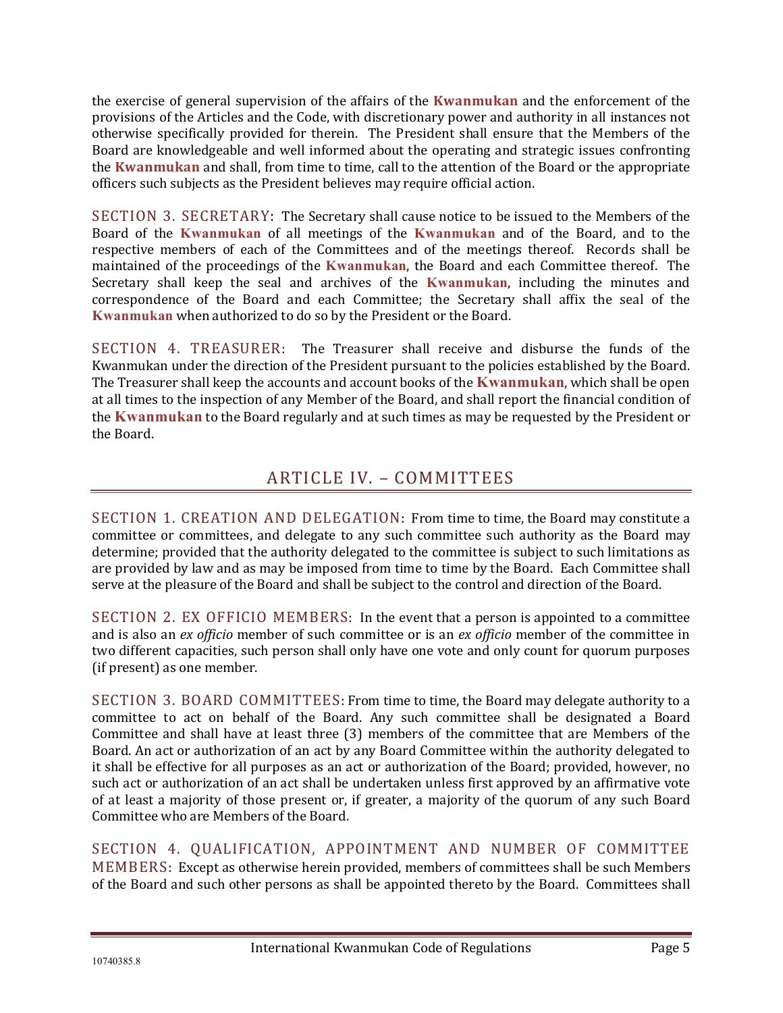the exercise of general supervision of the affairs of the **Kwanmukan** and the enforcement of the provisions of the Articles and the Code, with discretionary power and authority in all instances not otherwise specifically provided for therein. The President shall ensure that the Members of the Board are knowledgeable and well informed about the operating and strategic issues confronting the **Kwanmukan** and shall, from time to time, call to the attention of the Board or the appropriate officers such subjects as the President believes may require official action.

<span id="page-4-0"></span>SECTION 3. SECRETARY: The Secretary shall cause notice to be issued to the Members of the Board of the **Kwanmukan** of all meetings of the **Kwanmukan** and of the Board, and to the respective members of each of the Committees and of the meetings thereof. Records shall be maintained of the proceedings of the **Kwanmukan**, the Board and each Committee thereof. The Secretary shall keep the seal and archives of the **Kwanmukan**, including the minutes and correspondence of the Board and each Committee; the Secretary shall affix the seal of the **Kwanmukan** when authorized to do so by the President or the Board.

<span id="page-4-1"></span>SECTION 4. TREASURER: The Treasurer shall receive and disburse the funds of the Kwanmukan under the direction of the President pursuant to the policies established by the Board. The Treasurer shall keep the accounts and account books of the **Kwanmukan**, which shall be open at all times to the inspection of any Member of the Board, and shall report the financial condition of the **Kwanmukan** to the Board regularly and at such times as may be requested by the President or the Board.

# ARTICLE IV. – COMMITTEES

<span id="page-4-3"></span><span id="page-4-2"></span>SECTION 1. CREATION AND DELEGATION: From time to time, the Board may constitute a committee or committees, and delegate to any such committee such authority as the Board may determine; provided that the authority delegated to the committee is subject to such limitations as are provided by law and as may be imposed from time to time by the Board. Each Committee shall serve at the pleasure of the Board and shall be subject to the control and direction of the Board.

<span id="page-4-4"></span>SECTION 2. EX OFFICIO MEMBERS: In the event that a person is appointed to a committee and is also an *ex officio* member of such committee or is an *ex officio* member of the committee in two different capacities, such person shall only have one vote and only count for quorum purposes (if present) as one member.

<span id="page-4-5"></span>SECTION 3. BOARD COMMITTEES: From time to time, the Board may delegate authority to a committee to act on behalf of the Board. Any such committee shall be designated a Board Committee and shall have at least three (3) members of the committee that are Members of the Board. An act or authorization of an act by any Board Committee within the authority delegated to it shall be effective for all purposes as an act or authorization of the Board; provided, however, no such act or authorization of an act shall be undertaken unless first approved by an affirmative vote of at least a majority of those present or, if greater, a majority of the quorum of any such Board Committee who are Members of the Board.

<span id="page-4-6"></span>SECTION 4. QUALIFICATION, APPOINTMENT AND NUMBER OF COMMITTEE MEMBERS: Except as otherwise herein provided, members of committees shall be such Members of the Board and such other persons as shall be appointed thereto by the Board. Committees shall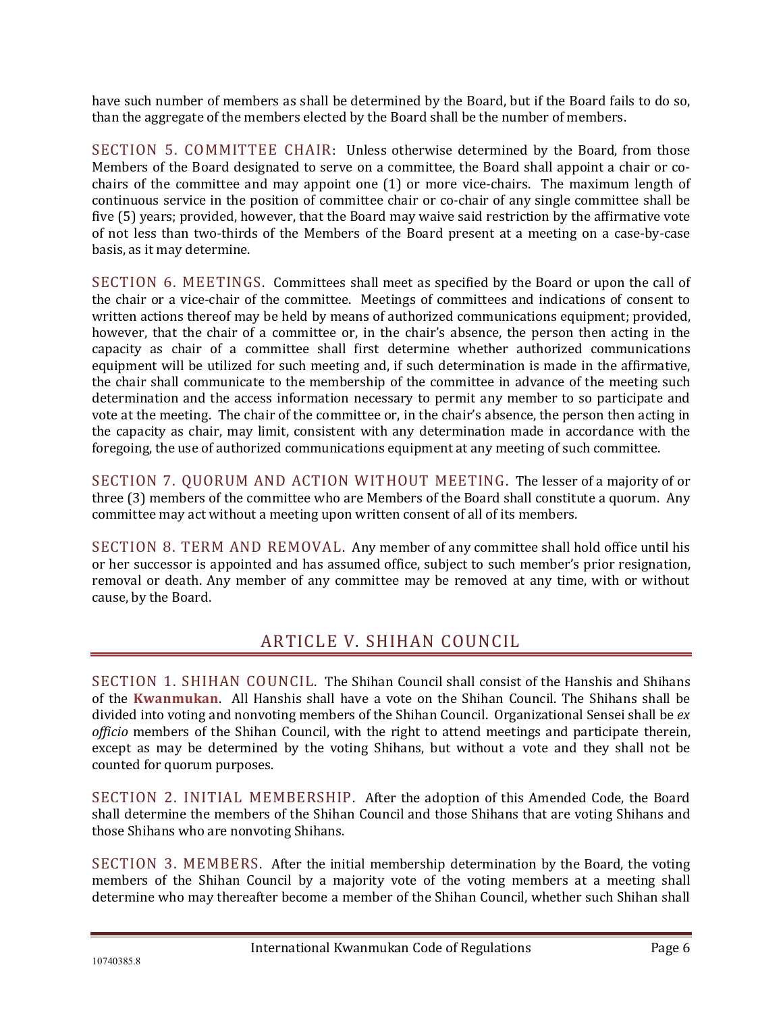have such number of members as shall be determined by the Board, but if the Board fails to do so, than the aggregate of the members elected by the Board shall be the number of members.

<span id="page-5-0"></span>SECTION 5. COMMITTEE CHAIR: Unless otherwise determined by the Board, from those Members of the Board designated to serve on a committee, the Board shall appoint a chair or cochairs of the committee and may appoint one (1) or more vice-chairs. The maximum length of continuous service in the position of committee chair or co-chair of any single committee shall be five (5) years; provided, however, that the Board may waive said restriction by the affirmative vote of not less than two-thirds of the Members of the Board present at a meeting on a case-by-case basis, as it may determine.

<span id="page-5-1"></span>SECTION 6. MEETINGS. Committees shall meet as specified by the Board or upon the call of the chair or a vice-chair of the committee. Meetings of committees and indications of consent to written actions thereof may be held by means of authorized communications equipment; provided, however, that the chair of a committee or, in the chair's absence, the person then acting in the capacity as chair of a committee shall first determine whether authorized communications equipment will be utilized for such meeting and, if such determination is made in the affirmative, the chair shall communicate to the membership of the committee in advance of the meeting such determination and the access information necessary to permit any member to so participate and vote at the meeting. The chair of the committee or, in the chair's absence, the person then acting in the capacity as chair, may limit, consistent with any determination made in accordance with the foregoing, the use of authorized communications equipment at any meeting of such committee.

<span id="page-5-2"></span>SECTION 7. QUORUM AND ACTION WITHOUT MEETING. The lesser of a majority of or three (3) members of the committee who are Members of the Board shall constitute a quorum. Any committee may act without a meeting upon written consent of all of its members.

<span id="page-5-3"></span>SECTION 8. TERM AND REMOVAL. Any member of any committee shall hold office until his or her successor is appointed and has assumed office, subject to such member's prior resignation, removal or death. Any member of any committee may be removed at any time, with or without cause, by the Board.

### ARTICLE V. SHIHAN COUNCIL

<span id="page-5-5"></span><span id="page-5-4"></span>SECTION 1. SHIHAN COUNCIL. The Shihan Council shall consist of the Hanshis and Shihans of the **Kwanmukan**. All Hanshis shall have a vote on the Shihan Council. The Shihans shall be divided into voting and nonvoting members of the Shihan Council. Organizational Sensei shall be *ex officio* members of the Shihan Council, with the right to attend meetings and participate therein, except as may be determined by the voting Shihans, but without a vote and they shall not be counted for quorum purposes.

<span id="page-5-6"></span>SECTION 2. INITIAL MEMBERSHIP. After the adoption of this Amended Code, the Board shall determine the members of the Shihan Council and those Shihans that are voting Shihans and those Shihans who are nonvoting Shihans.

<span id="page-5-7"></span>SECTION 3. MEMBERS. After the initial membership determination by the Board, the voting members of the Shihan Council by a majority vote of the voting members at a meeting shall determine who may thereafter become a member of the Shihan Council, whether such Shihan shall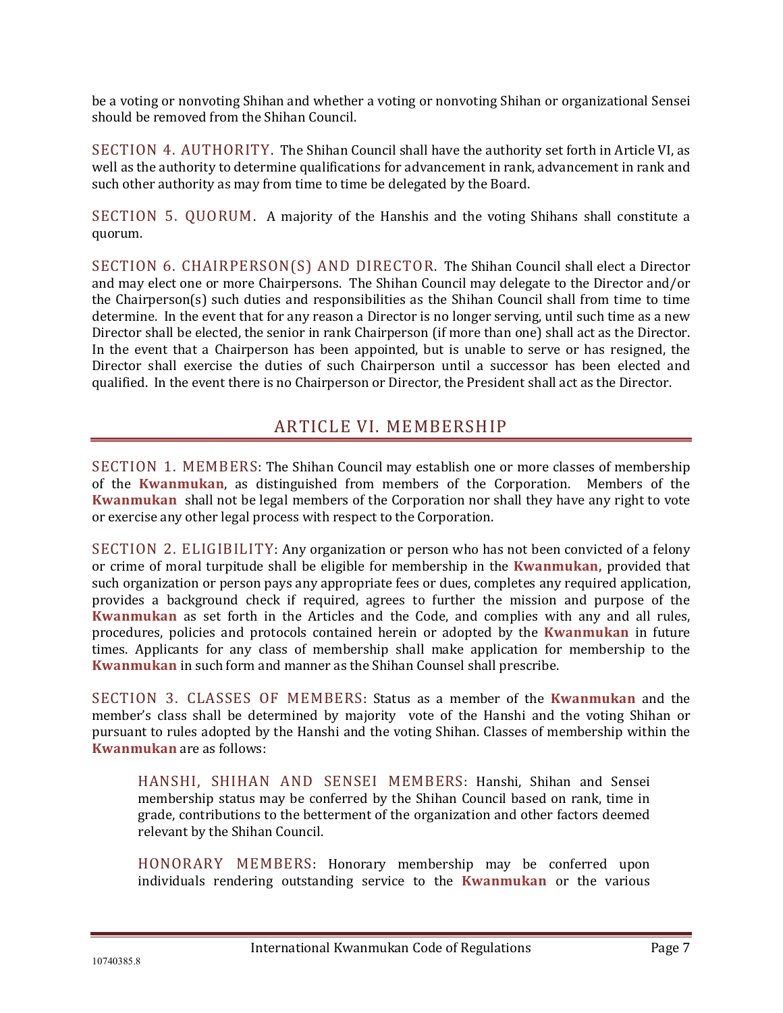be a voting or nonvoting Shihan and whether a voting or nonvoting Shihan or organizational Sensei should be removed from the Shihan Council.

<span id="page-6-0"></span>SECTION 4. AUTHORITY. The Shihan Council shall have the authority set forth in Article VI, as well as the authority to determine qualifications for advancement in rank, advancement in rank and such other authority as may from time to time be delegated by the Board.

<span id="page-6-1"></span>SECTION 5. QUORUM. A majority of the Hanshis and the voting Shihans shall constitute a quorum.

<span id="page-6-2"></span>SECTION 6. CHAIRPERSON(S) AND DIRECTOR. The Shihan Council shall elect a Director and may elect one or more Chairpersons. The Shihan Council may delegate to the Director and/or the Chairperson(s) such duties and responsibilities as the Shihan Council shall from time to time determine. In the event that for any reason a Director is no longer serving, until such time as a new Director shall be elected, the senior in rank Chairperson (if more than one) shall act as the Director. In the event that a Chairperson has been appointed, but is unable to serve or has resigned, the Director shall exercise the duties of such Chairperson until a successor has been elected and qualified. In the event there is no Chairperson or Director, the President shall act as the Director.

#### ARTICLE VI. MEMBERSHIP

<span id="page-6-4"></span><span id="page-6-3"></span>SECTION 1. MEMBERS: The Shihan Council may establish one or more classes of membership of the **Kwanmukan**, as distinguished from members of the Corporation. Members of the **Kwanmukan** shall not be legal members of the Corporation nor shall they have any right to vote or exercise any other legal process with respect to the Corporation.

<span id="page-6-5"></span>SECTION 2. ELIGIBILITY: Any organization or person who has not been convicted of a felony or crime of moral turpitude shall be eligible for membership in the **Kwanmukan,** provided that such organization or person pays any appropriate fees or dues, completes any required application, provides a background check if required, agrees to further the mission and purpose of the **Kwanmukan** as set forth in the Articles and the Code, and complies with any and all rules, procedures, policies and protocols contained herein or adopted by the **Kwanmukan** in future times. Applicants for any class of membership shall make application for membership to the **Kwanmukan** in such form and manner as the Shihan Counsel shall prescribe.

<span id="page-6-6"></span>SECTION 3. CLASSES OF MEMBERS: Status as a member of the **Kwanmukan** and the member's class shall be determined by majority vote of the Hanshi and the voting Shihan or pursuant to rules adopted by the Hanshi and the voting Shihan. Classes of membership within the **Kwanmukan** are as follows:

<span id="page-6-7"></span>HANSHI, SHIHAN AND SENSEI MEMBERS: Hanshi, Shihan and Sensei membership status may be conferred by the Shihan Council based on rank, time in grade, contributions to the betterment of the organization and other factors deemed relevant by the Shihan Council.

<span id="page-6-8"></span>HONORARY MEMBERS: Honorary membership may be conferred upon individuals rendering outstanding service to the **Kwanmukan** or the various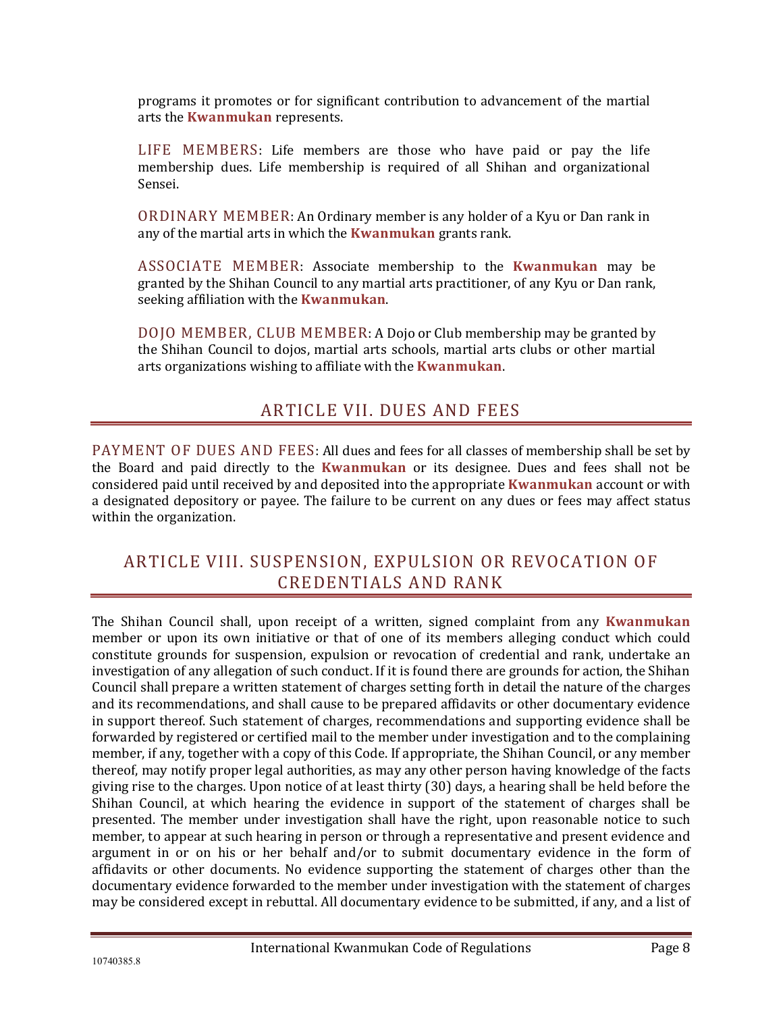programs it promotes or for significant contribution to advancement of the martial arts the **Kwanmukan** represents.

<span id="page-7-0"></span>LIFE MEMBERS: Life members are those who have paid or pay the life membership dues. Life membership is required of all Shihan and organizational Sensei.

<span id="page-7-1"></span>ORDINARY MEMBER: An Ordinary member is any holder of a Kyu or Dan rank in any of the martial arts in which the **Kwanmukan** grants rank.

<span id="page-7-2"></span>ASSOCIATE MEMBER: Associate membership to the **Kwanmukan** may be granted by the Shihan Council to any martial arts practitioner, of any Kyu or Dan rank, seeking affiliation with the **Kwanmukan**.

<span id="page-7-3"></span>DOJO MEMBER, CLUB MEMBER: A Dojo or Club membership may be granted by the Shihan Council to dojos, martial arts schools, martial arts clubs or other martial arts organizations wishing to affiliate with the **Kwanmukan**.

#### ARTICLE VII. DUES AND FEES

<span id="page-7-5"></span><span id="page-7-4"></span>PAYMENT OF DUES AND FEES: All dues and fees for all classes of membership shall be set by the Board and paid directly to the **Kwanmukan** or its designee. Dues and fees shall not be considered paid until received by and deposited into the appropriate **Kwanmukan** account or with a designated depository or payee. The failure to be current on any dues or fees may affect status within the organization.

#### <span id="page-7-6"></span>ARTICLE VIII. SUSPENSION, EXPULSION OR REVOCATION OF CREDENTIALS AND RANK

The Shihan Council shall, upon receipt of a written, signed complaint from any **Kwanmukan** member or upon its own initiative or that of one of its members alleging conduct which could constitute grounds for suspension, expulsion or revocation of credential and rank, undertake an investigation of any allegation of such conduct. If it is found there are grounds for action, the Shihan Council shall prepare a written statement of charges setting forth in detail the nature of the charges and its recommendations, and shall cause to be prepared affidavits or other documentary evidence in support thereof. Such statement of charges, recommendations and supporting evidence shall be forwarded by registered or certified mail to the member under investigation and to the complaining member, if any, together with a copy of this Code. If appropriate, the Shihan Council, or any member thereof, may notify proper legal authorities, as may any other person having knowledge of the facts giving rise to the charges. Upon notice of at least thirty (30) days, a hearing shall be held before the Shihan Council, at which hearing the evidence in support of the statement of charges shall be presented. The member under investigation shall have the right, upon reasonable notice to such member, to appear at such hearing in person or through a representative and present evidence and argument in or on his or her behalf and/or to submit documentary evidence in the form of affidavits or other documents. No evidence supporting the statement of charges other than the documentary evidence forwarded to the member under investigation with the statement of charges may be considered except in rebuttal. All documentary evidence to be submitted, if any, and a list of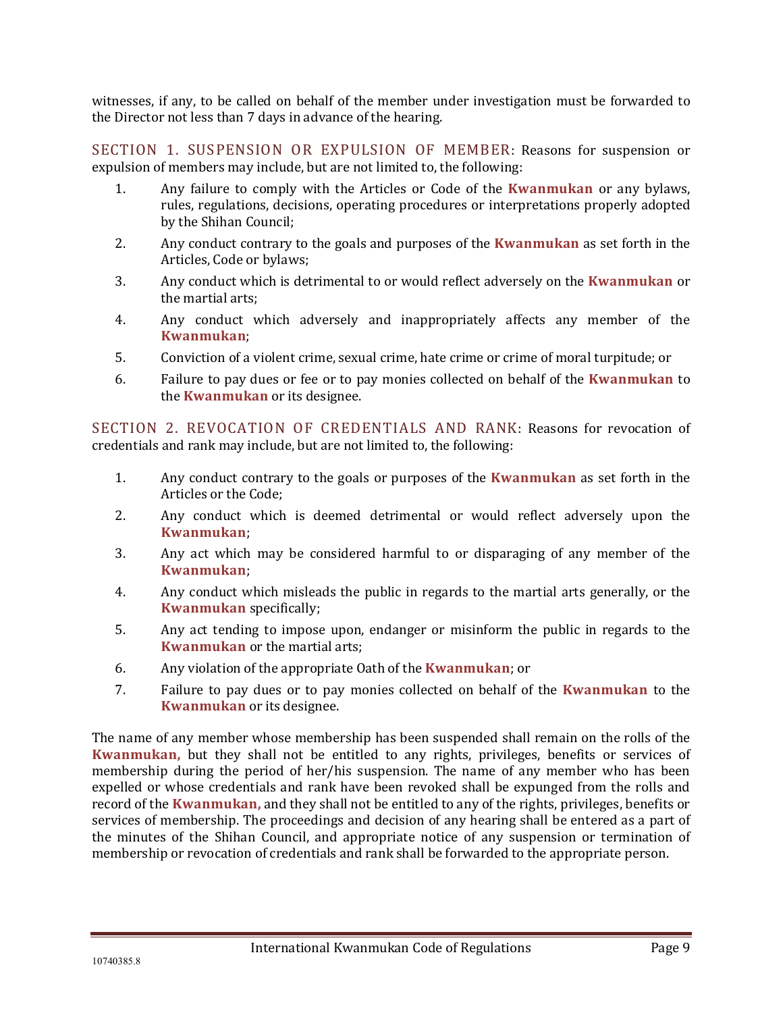witnesses, if any, to be called on behalf of the member under investigation must be forwarded to the Director not less than 7 days in advance of the hearing.

<span id="page-8-0"></span>SECTION 1. SUSPENSION OR EXPULSION OF MEMBER: Reasons for suspension or expulsion of members may include, but are not limited to, the following:

- 1. Any failure to comply with the Articles or Code of the **Kwanmukan** or any bylaws, rules, regulations, decisions, operating procedures or interpretations properly adopted by the Shihan Council;
- 2. Any conduct contrary to the goals and purposes of the **Kwanmukan** as set forth in the Articles, Code or bylaws;
- 3. Any conduct which is detrimental to or would reflect adversely on the **Kwanmukan** or the martial arts;
- 4. Any conduct which adversely and inappropriately affects any member of the **Kwanmukan**;
- 5. Conviction of a violent crime, sexual crime, hate crime or crime of moral turpitude; or
- 6. Failure to pay dues or fee or to pay monies collected on behalf of the **Kwanmukan** to the **Kwanmukan** or its designee.

<span id="page-8-1"></span>SECTION 2. REVOCATION OF CREDENTIALS AND RANK: Reasons for revocation of credentials and rank may include, but are not limited to, the following:

- 1. Any conduct contrary to the goals or purposes of the **Kwanmukan** as set forth in the Articles or the Code;
- 2. Any conduct which is deemed detrimental or would reflect adversely upon the **Kwanmukan**;
- 3. Any act which may be considered harmful to or disparaging of any member of the **Kwanmukan**;
- 4. Any conduct which misleads the public in regards to the martial arts generally, or the **Kwanmukan** specifically;
- 5. Any act tending to impose upon, endanger or misinform the public in regards to the **Kwanmukan** or the martial arts;
- 6. Any violation of the appropriate Oath of the **Kwanmukan**; or
- 7. Failure to pay dues or to pay monies collected on behalf of the **Kwanmukan** to the **Kwanmukan** or its designee.

The name of any member whose membership has been suspended shall remain on the rolls of the **Kwanmukan,** but they shall not be entitled to any rights, privileges, benefits or services of membership during the period of her/his suspension. The name of any member who has been expelled or whose credentials and rank have been revoked shall be expunged from the rolls and record of the **Kwanmukan,** and they shall not be entitled to any of the rights, privileges, benefits or services of membership. The proceedings and decision of any hearing shall be entered as a part of the minutes of the Shihan Council, and appropriate notice of any suspension or termination of membership or revocation of credentials and rank shall be forwarded to the appropriate person.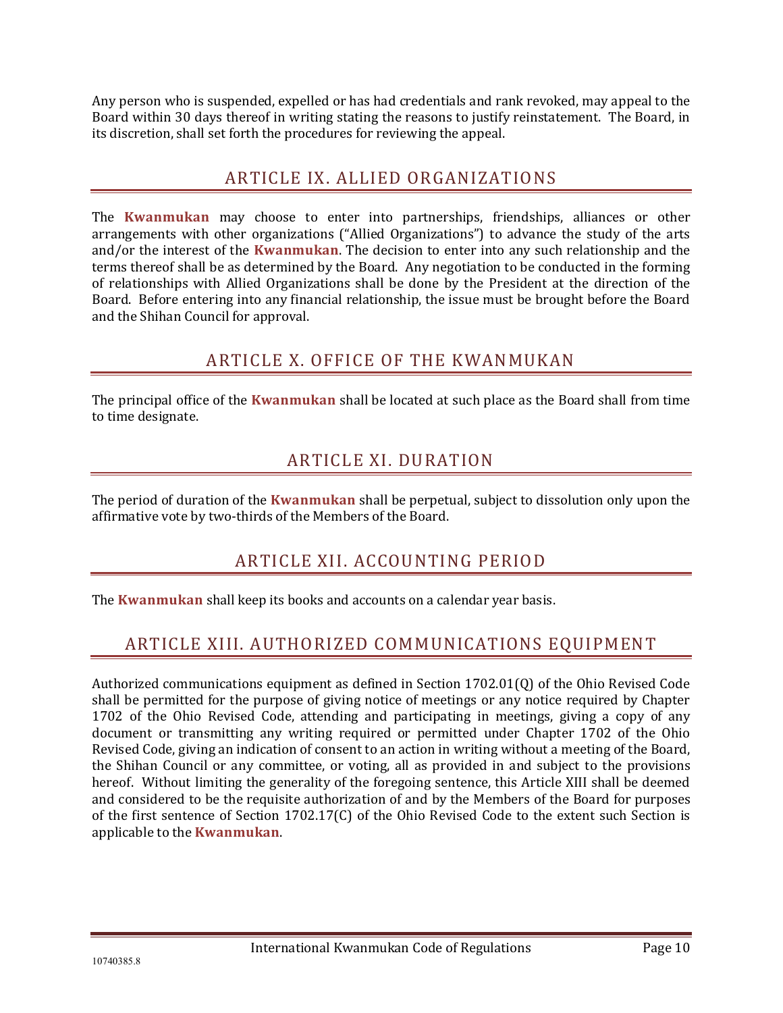<span id="page-9-0"></span>Any person who is suspended, expelled or has had credentials and rank revoked, may appeal to the Board within 30 days thereof in writing stating the reasons to justify reinstatement. The Board, in its discretion, shall set forth the procedures for reviewing the appeal.

### ARTICLE IX. ALLIED ORGANIZATIONS

The **Kwanmukan** may choose to enter into partnerships, friendships, alliances or other arrangements with other organizations ("Allied Organizations") to advance the study of the arts and/or the interest of the **Kwanmukan**. The decision to enter into any such relationship and the terms thereof shall be as determined by the Board. Any negotiation to be conducted in the forming of relationships with Allied Organizations shall be done by the President at the direction of the Board. Before entering into any financial relationship, the issue must be brought before the Board and the Shihan Council for approval.

# ARTICLE X. OFFICE OF THE KWANMUKAN

<span id="page-9-2"></span><span id="page-9-1"></span>The principal office of the **Kwanmukan** shall be located at such place as the Board shall from time to time designate.

# ARTICLE XI. DURATION

<span id="page-9-3"></span>The period of duration of the **Kwanmukan** shall be perpetual, subject to dissolution only upon the affirmative vote by two-thirds of the Members of the Board.

# ARTICLE XII. ACCOUNTING PERIOD

<span id="page-9-4"></span>The **Kwanmukan** shall keep its books and accounts on a calendar year basis.

# ARTICLE XIII. AUTHORIZED COMMUNICATIONS EQUIPMENT

Authorized communications equipment as defined in Section 1702.01(Q) of the Ohio Revised Code shall be permitted for the purpose of giving notice of meetings or any notice required by Chapter 1702 of the Ohio Revised Code, attending and participating in meetings, giving a copy of any document or transmitting any writing required or permitted under Chapter 1702 of the Ohio Revised Code, giving an indication of consent to an action in writing without a meeting of the Board, the Shihan Council or any committee, or voting, all as provided in and subject to the provisions hereof. Without limiting the generality of the foregoing sentence, this Article XIII shall be deemed and considered to be the requisite authorization of and by the Members of the Board for purposes of the first sentence of Section 1702.17(C) of the Ohio Revised Code to the extent such Section is applicable to the **Kwanmukan**.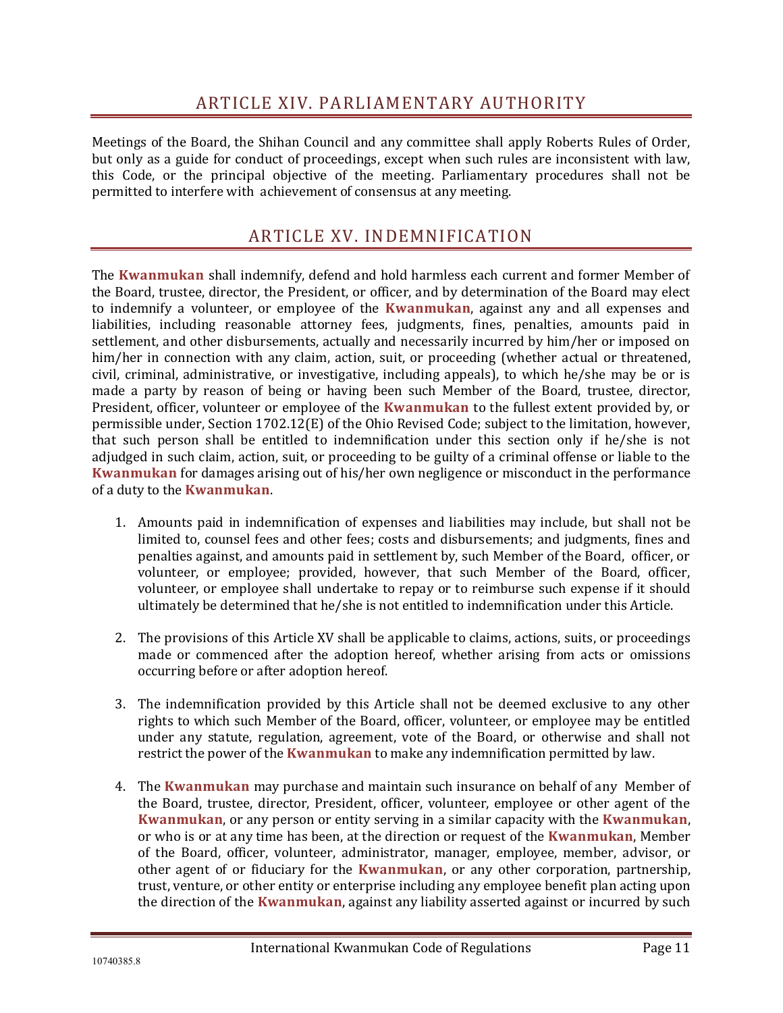#### ARTICLE XIV. PARLIAMENTARY AUTHORITY

<span id="page-10-0"></span>Meetings of the Board, the Shihan Council and any committee shall apply Roberts Rules of Order, but only as a guide for conduct of proceedings, except when such rules are inconsistent with law, this Code, or the principal objective of the meeting. Parliamentary procedures shall not be permitted to interfere with achievement of consensus at any meeting.

#### ARTICLE XV. INDEMNIFICATION

<span id="page-10-1"></span>The **Kwanmukan** shall indemnify, defend and hold harmless each current and former Member of the Board, trustee, director, the President, or officer, and by determination of the Board may elect to indemnify a volunteer, or employee of the **Kwanmukan**, against any and all expenses and liabilities, including reasonable attorney fees, judgments, fines, penalties, amounts paid in settlement, and other disbursements, actually and necessarily incurred by him/her or imposed on him/her in connection with any claim, action, suit, or proceeding (whether actual or threatened, civil, criminal, administrative, or investigative, including appeals), to which he/she may be or is made a party by reason of being or having been such Member of the Board, trustee, director, President, officer, volunteer or employee of the **Kwanmukan** to the fullest extent provided by, or permissible under, Section 1702.12(E) of the Ohio Revised Code; subject to the limitation, however, that such person shall be entitled to indemnification under this section only if he/she is not adjudged in such claim, action, suit, or proceeding to be guilty of a criminal offense or liable to the **Kwanmukan** for damages arising out of his/her own negligence or misconduct in the performance of a duty to the **Kwanmukan**.

- 1. Amounts paid in indemnification of expenses and liabilities may include, but shall not be limited to, counsel fees and other fees; costs and disbursements; and judgments, fines and penalties against, and amounts paid in settlement by, such Member of the Board, officer, or volunteer, or employee; provided, however, that such Member of the Board, officer, volunteer, or employee shall undertake to repay or to reimburse such expense if it should ultimately be determined that he/she is not entitled to indemnification under this Article.
- 2. The provisions of this Article XV shall be applicable to claims, actions, suits, or proceedings made or commenced after the adoption hereof, whether arising from acts or omissions occurring before or after adoption hereof.
- 3. The indemnification provided by this Article shall not be deemed exclusive to any other rights to which such Member of the Board, officer, volunteer, or employee may be entitled under any statute, regulation, agreement, vote of the Board, or otherwise and shall not restrict the power of the **Kwanmukan** to make any indemnification permitted by law.
- 4. The **Kwanmukan** may purchase and maintain such insurance on behalf of any Member of the Board, trustee, director, President, officer, volunteer, employee or other agent of the **Kwanmukan**, or any person or entity serving in a similar capacity with the **Kwanmukan**, or who is or at any time has been, at the direction or request of the **Kwanmukan**, Member of the Board, officer, volunteer, administrator, manager, employee, member, advisor, or other agent of or fiduciary for the **Kwanmukan**, or any other corporation, partnership, trust, venture, or other entity or enterprise including any employee benefit plan acting upon the direction of the **Kwanmukan**, against any liability asserted against or incurred by such